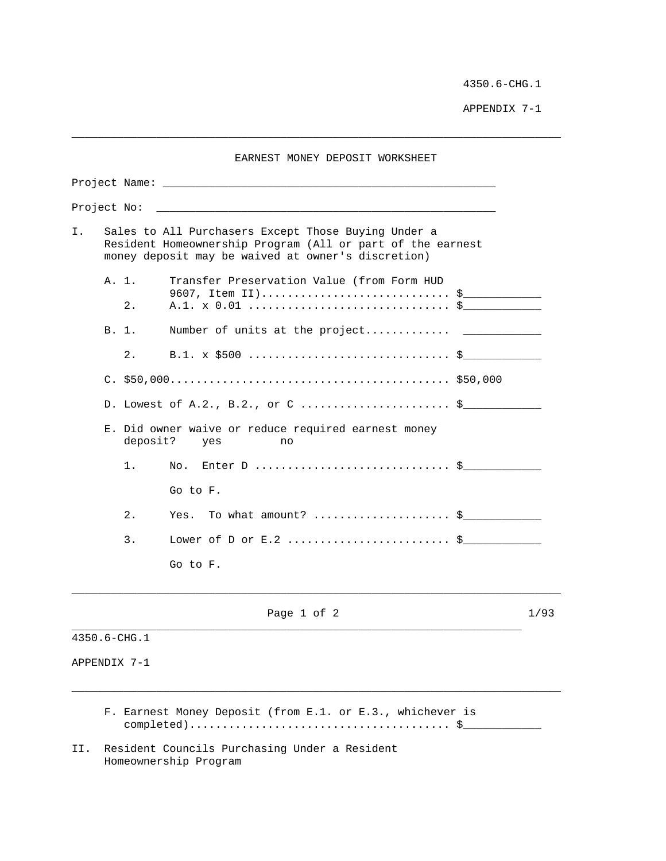4350.6-CHG.1

APPENDIX 7-1

| EARNEST MONEY DEPOSIT WORKSHEET |                                                                                                                                                                         |                                  |                                                                 |  |      |  |  |  |
|---------------------------------|-------------------------------------------------------------------------------------------------------------------------------------------------------------------------|----------------------------------|-----------------------------------------------------------------|--|------|--|--|--|
|                                 |                                                                                                                                                                         |                                  |                                                                 |  |      |  |  |  |
| Project No:                     |                                                                                                                                                                         |                                  |                                                                 |  |      |  |  |  |
| Ι.                              | Sales to All Purchasers Except Those Buying Under a<br>Resident Homeownership Program (All or part of the earnest<br>money deposit may be waived at owner's discretion) |                                  |                                                                 |  |      |  |  |  |
|                                 | A. 1.                                                                                                                                                                   | 2.                               | Transfer Preservation Value (from Form HUD<br>9607, Item II) \$ |  |      |  |  |  |
|                                 | B. 1.                                                                                                                                                                   |                                  |                                                                 |  |      |  |  |  |
|                                 |                                                                                                                                                                         | 2.                               |                                                                 |  |      |  |  |  |
|                                 |                                                                                                                                                                         |                                  |                                                                 |  |      |  |  |  |
|                                 |                                                                                                                                                                         | D. Lowest of A.2., B.2., or C \$ |                                                                 |  |      |  |  |  |
|                                 | E. Did owner waive or reduce required earnest money<br>deposit?<br>yes<br>no                                                                                            |                                  |                                                                 |  |      |  |  |  |
|                                 |                                                                                                                                                                         | 1 <sub>1</sub>                   | Enter D $\ddot{s}$<br>No.                                       |  |      |  |  |  |
|                                 |                                                                                                                                                                         |                                  | Go to F.                                                        |  |      |  |  |  |
|                                 |                                                                                                                                                                         | 2.                               | Yes. To what amount? \$                                         |  |      |  |  |  |
|                                 |                                                                                                                                                                         | 3.                               | Lower of D or E.2 $\ddot{\texttt{S}}$                           |  |      |  |  |  |
|                                 |                                                                                                                                                                         |                                  | Go to F.                                                        |  |      |  |  |  |
|                                 |                                                                                                                                                                         |                                  | Page 1 of 2                                                     |  | 1/93 |  |  |  |

\_\_\_\_\_\_\_\_\_\_\_\_\_\_\_\_\_\_\_\_\_\_\_\_\_\_\_\_\_\_\_\_\_\_\_\_\_\_\_\_\_\_\_\_\_\_\_\_\_\_\_\_\_\_\_\_\_\_\_\_\_\_\_\_\_\_\_\_\_\_\_\_\_\_\_

4350.6-CHG.1

APPENDIX 7-1

 F. Earnest Money Deposit (from E.1. or E.3., whichever is completed)........................................ \$\_\_\_\_\_\_\_\_\_\_\_\_

\_\_\_\_\_\_\_\_\_\_\_\_\_\_\_\_\_\_\_\_\_\_\_\_\_\_\_\_\_\_\_\_\_\_\_\_\_\_\_\_\_\_\_\_\_\_\_\_\_\_\_\_\_\_\_\_\_\_\_\_\_\_\_\_\_\_\_\_\_\_\_\_\_\_\_

II. Resident Councils Purchasing Under a Resident Homeownership Program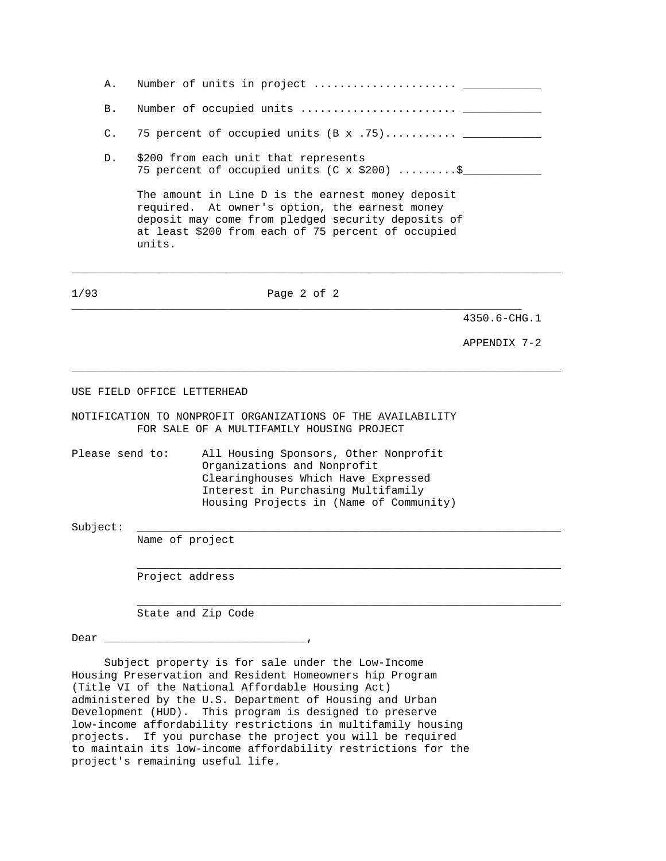| Α.             |                    |                                                                                                                                                                                                                                                                                                                                                           |              |  |  |  |  |  |  |
|----------------|--------------------|-----------------------------------------------------------------------------------------------------------------------------------------------------------------------------------------------------------------------------------------------------------------------------------------------------------------------------------------------------------|--------------|--|--|--|--|--|--|
| Β.             |                    |                                                                                                                                                                                                                                                                                                                                                           |              |  |  |  |  |  |  |
| $\mathsf{C}$ . |                    | 75 percent of occupied units $(B \times .75)$                                                                                                                                                                                                                                                                                                             |              |  |  |  |  |  |  |
| D.             |                    | \$200 from each unit that represents<br>75 percent of occupied units (C x \$200)  \$                                                                                                                                                                                                                                                                      |              |  |  |  |  |  |  |
|                | units.             | The amount in Line D is the earnest money deposit<br>required. At owner's option, the earnest money<br>deposit may come from pledged security deposits of<br>at least \$200 from each of 75 percent of occupied                                                                                                                                           |              |  |  |  |  |  |  |
| 1/93           |                    | Page 2 of 2                                                                                                                                                                                                                                                                                                                                               |              |  |  |  |  |  |  |
|                |                    |                                                                                                                                                                                                                                                                                                                                                           | 4350.6-CHG.1 |  |  |  |  |  |  |
|                |                    |                                                                                                                                                                                                                                                                                                                                                           | APPENDIX 7-2 |  |  |  |  |  |  |
|                |                    | NOTIFICATION TO NONPROFIT ORGANIZATIONS OF THE AVAILABILITY<br>FOR SALE OF A MULTIFAMILY HOUSING PROJECT                                                                                                                                                                                                                                                  |              |  |  |  |  |  |  |
|                | Please send to:    | All Housing Sponsors, Other Nonprofit<br>Organizations and Nonprofit<br>Clearinghouses Which Have Expressed<br>Interest in Purchasing Multifamily<br>Housing Projects in (Name of Community)                                                                                                                                                              |              |  |  |  |  |  |  |
| Subject:       | Name of project    |                                                                                                                                                                                                                                                                                                                                                           |              |  |  |  |  |  |  |
|                | Project address    |                                                                                                                                                                                                                                                                                                                                                           |              |  |  |  |  |  |  |
|                | State and Zip Code |                                                                                                                                                                                                                                                                                                                                                           |              |  |  |  |  |  |  |
|                |                    |                                                                                                                                                                                                                                                                                                                                                           |              |  |  |  |  |  |  |
|                |                    | Subject property is for sale under the Low-Income<br>Housing Preservation and Resident Homeowners hip Program<br>(Title VI of the National Affordable Housing Act)<br>administered by the U.S. Department of Housing and Urban<br>Development (HUD). This program is designed to preserve<br>low-income affordability restrictions in multifamily housing |              |  |  |  |  |  |  |

projects. If you purchase the project you will be required to maintain its low-income affordability restrictions for the project's remaining useful life.